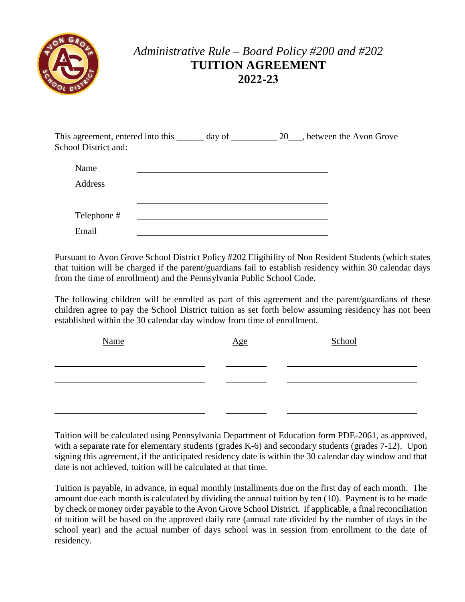

## *Administrative Rule – Board Policy #200 and #202* **TUITION AGREEMENT 2022-23**

| This agreement, entered into this | day of | 20, between the Avon Grove |
|-----------------------------------|--------|----------------------------|
| School District and:              |        |                            |
|                                   |        |                            |

| Name        |  |
|-------------|--|
| Address     |  |
|             |  |
|             |  |
| Telephone # |  |
| Email       |  |

 from the time of enrollment) and the Pennsylvania Public School Code. Pursuant to Avon Grove School District Policy #202 Eligibility of Non Resident Students (which states that tuition will be charged if the parent/guardians fail to establish residency within 30 calendar days

 established within the 30 calendar day window from time of enrollment. The following children will be enrolled as part of this agreement and the parent/guardians of these children agree to pay the School District tuition as set forth below assuming residency has not been

| <b>Name</b> | Age | School |
|-------------|-----|--------|
|             |     |        |
|             |     |        |
|             |     |        |
|             |     |        |

date is not achieved, tuition will be calculated at that time. Tuition will be calculated using Pennsylvania Department of Education form PDE-2061, as approved, with a separate rate for elementary students (grades K-6) and secondary students (grades 7-12). Upon signing this agreement, if the anticipated residency date is within the 30 calendar day window and that

 school year) and the actual number of days school was in session from enrollment to the date of Tuition is payable, in advance, in equal monthly installments due on the first day of each month. The amount due each month is calculated by dividing the annual tuition by ten (10). Payment is to be made by check or money order payable to the Avon Grove School District. If applicable, a final reconciliation of tuition will be based on the approved daily rate (annual rate divided by the number of days in the residency.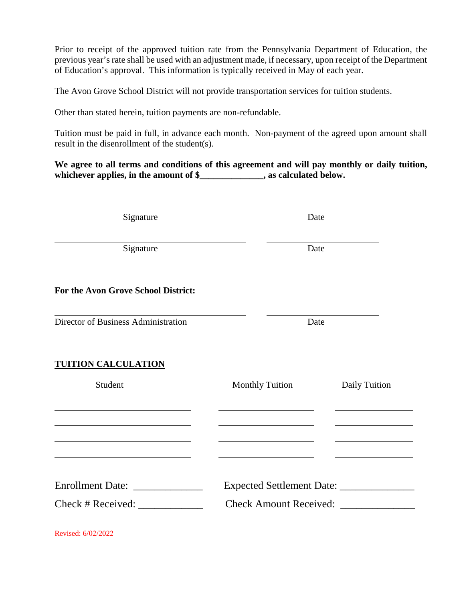Prior to receipt of the approved tuition rate from the Pennsylvania Department of Education, the previous year's rate shall be used with an adjustment made, if necessary, upon receipt of the Department of Education's approval. This information is typically received in May of each year.

The Avon Grove School District will not provide transportation services for tuition students.

Other than stated herein, tuition payments are non-refundable.

Tuition must be paid in full, in advance each month. Non-payment of the agreed upon amount shall result in the disenrollment of the student(s).

**We agree to all terms and conditions of this agreement and will pay monthly or daily tuition, whichever applies, in the amount of \$\_\_\_\_\_\_\_\_\_\_\_\_\_\_, as calculated below.** 

| Signature                           | Date                   |               |  |  |
|-------------------------------------|------------------------|---------------|--|--|
|                                     |                        |               |  |  |
| Signature                           |                        | Date          |  |  |
| For the Avon Grove School District: |                        |               |  |  |
| Director of Business Administration | Date                   |               |  |  |
| <b>TUITION CALCULATION</b>          |                        |               |  |  |
| Student                             | <b>Monthly Tuition</b> | Daily Tuition |  |  |
|                                     |                        |               |  |  |
|                                     |                        |               |  |  |
|                                     |                        |               |  |  |
| $Check \#Received:$                 | Check Amount Received: |               |  |  |

Revised: 6/02/2022